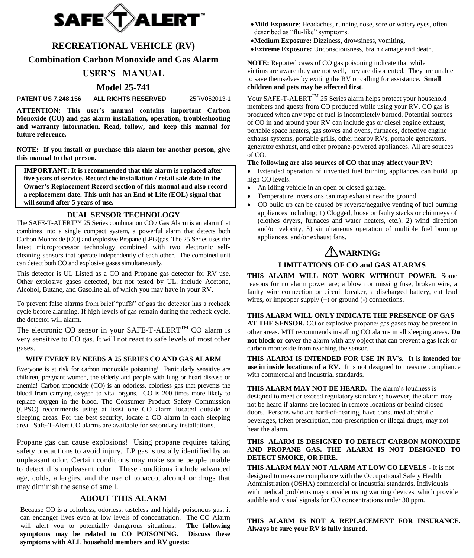

## **RECREATIONAL VEHICLE (RV)**

**Combination Carbon Monoxide and Gas Alarm**

## **USER'S MANUAL**

## **Model 25-741**

**PATENT US 7,248,156 ALL RIGHTS RESERVED** 25RV052013-1

**ATTENTION: This user's manual contains important Carbon Monoxide (CO) and gas alarm installation, operation, troubleshooting and warranty information. Read, follow, and keep this manual for future reference.**

**NOTE: If you install or purchase this alarm for another person, give this manual to that person.**

**IMPORTANT: It is recommended that this alarm is replaced after five years of service. Record the installation / retail sale date in the Owner's Replacement Record section of this manual and also record a replacement date. This unit has an End of Life (EOL) signal that will sound after 5 years of use.** 

#### **DUAL SENSOR TECHNOLOGY**

The SAFE-T-ALERT<sup> $M$ </sup> 25 Series combination CO / Gas Alarm is an alarm that combines into a single compact system, a powerful alarm that detects both Carbon Monoxide (CO) and explosive Propane (LPG)gas. The 25 Series uses the latest microprocessor technology combined with two electronic selfcleaning sensors that operate independently of each other. The combined unit can detect both CO and explosive gases simultaneously.

This detector is UL Listed as a CO and Propane gas detector for RV use. Other explosive gases detected, but not tested by UL, include Acetone, Alcohol, Butane, and Gasoline all of which you may have in your RV.

To prevent false alarms from brief "puffs" of gas the detector has a recheck cycle before alarming. If high levels of gas remain during the recheck cycle, the detector will alarm.

The electronic CO sensor in your SAFE-T-ALERT<sup>TM</sup> CO alarm is very sensitive to CO gas. It will not react to safe levels of most other gases.

#### **WHY EVERY RV NEEDS A 25 SERIES CO AND GAS ALARM**

Everyone is at risk for carbon monoxide poisoning! Particularly sensitive are children, pregnant women, the elderly and people with lung or heart disease or anemia! Carbon monoxide (CO) is an odorless, colorless gas that prevents the blood from carrying oxygen to vital organs.CO is 200 times more likely to replace oxygen in the blood. The Consumer Product Safety Commission (CPSC) recommends using at least one CO alarm located outside of sleeping areas. For the best security, locate a CO alarm in each sleeping area. Safe-T-Alert CO alarms are available for secondary installations.

Propane gas can cause explosions! Using propane requires taking safety precautions to avoid injury. LP gas is usually identified by an unpleasant odor. Certain conditions may make some people unable to detect this unpleasant odor. These conditions include advanced age, colds, allergies, and the use of tobacco, alcohol or drugs that may diminish the sense of smell.

## **ABOUT THIS ALARM**

Because CO is a colorless, odorless, tasteless and highly poisonous gas; it can endanger lives even at low levels of concentration. The CO Alarm will alert you to potentially dangerous situations. **The following symptoms may be related to CO POISONING. Discuss these symptoms with ALL household members and RV guests:**

- **Mild Exposure**: Headaches, running nose, sore or watery eyes, often described as "flu-like" symptoms.
- **Medium Exposure:** Dizziness, drowsiness, vomiting.
- **Extreme Exposure:** Unconsciousness, brain damage and death.

**NOTE:** Reported cases of CO gas poisoning indicate that while victims are aware they are not well, they are disoriented. They are unable to save themselves by exiting the RV or calling for assistance**. Small children and pets may be affected first.**

Your SAFE-T-ALERT<sup>TM</sup> 25 Series alarm helps protect your household members and guests from CO produced while using your RV. CO gas is produced when any type of fuel is incompletely burned. Potential sources of CO in and around your RV can include gas or diesel engine exhaust, portable space heaters, gas stoves and ovens, furnaces, defective engine exhaust systems, portable grills, other nearby RVs, portable generators, generator exhaust, and other propane-powered appliances. All are sources of CO.

#### **The following are also sources of CO that may affect your RV**:

 Extended operation of unvented fuel burning appliances can build up high CO levels.

- An idling vehicle in an open or closed garage.
- Temperature inversions can trap exhaust near the ground.
- CO build up can be caused by reverse/negative venting of fuel burning appliances including; 1) Clogged, loose or faulty stacks or chimneys of (clothes dryers, furnaces and water heaters, etc.), 2) wind direction and/or velocity, 3) simultaneous operation of multiple fuel burning appliances, and/or exhaust fans.

# ! **WARNING:**

## **LIMITATIONS OF CO and GAS ALARMS**

**THIS ALARM WILL NOT WORK WITHOUT POWER.** Some reasons for no alarm power are; a blown or missing fuse, broken wire, a faulty wire connection or circuit breaker, a discharged battery, cut lead wires, or improper supply (+) or ground (-) connections.

**THIS ALARM WILL ONLY INDICATE THE PRESENCE OF GAS AT THE SENSOR.** CO or explosive propane/ gas gases may be present in other areas. MTI recommends installing CO alarms in all sleeping areas. **Do not block or cover** the alarm with any object that can prevent a gas leak or carbon monoxide from reaching the sensor.

**THIS ALARM IS INTENDED FOR USE IN RV's. It is intended for use in inside locations of a RV.** It is not designed to measure compliance with commercial and industrial standards.

**THIS ALARM MAY NOT BE HEARD.** The alarm's loudness is designed to meet or exceed regulatory standards; however, the alarm may not be heard if alarms are located in remote locations or behind closed doors. Persons who are hard-of-hearing, have consumed alcoholic beverages, taken prescription, non-prescription or illegal drugs, may not hear the alarm.

#### **THIS ALARM IS DESIGNED TO DETECT CARBON MONOXIDE AND PROPANE GAS. THE ALARM IS NOT DESIGNED TO DETECT SMOKE, OR FIRE.**

**THIS ALARM MAY NOT ALARM AT LOW CO LEVELS -** It is not designed to measure compliance with the Occupational Safety Health Administration (OSHA) commercial or industrial standards. Individuals with medical problems may consider using warning devices, which provide audible and visual signals for CO concentrations under 30 ppm.

**THIS ALARM IS NOT A REPLACEMENT FOR INSURANCE. Always be sure your RV is fully insured.**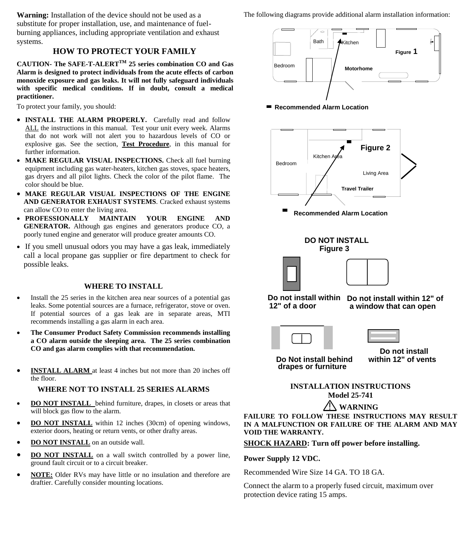**Warning:** Installation of the device should not be used as a substitute for proper installation, use, and maintenance of fuelburning appliances, including appropriate ventilation and exhaust systems.

## **HOW TO PROTECT YOUR FAMILY**

**CAUTION- The SAFE-T-ALERTTM 25 series combination CO and Gas Alarm is designed to protect individuals from the acute effects of carbon monoxide exposure and gas leaks. It will not fully safeguard individuals with specific medical conditions. If in doubt, consult a medical practitioner.**

To protect your family, you should:

- **INSTALL THE ALARM PROPERLY.** Carefully read and follow ALL the instructions in this manual. Test your unit every week. Alarms that do not work will not alert you to hazardous levels of CO or explosive gas. See the section, **Test Procedure**, in this manual for further information.
- MAKE REGULAR VISUAL INSPECTIONS. Check all fuel burning equipment including gas water-heaters, kitchen gas stoves, space heaters, gas dryers and all pilot lights. Check the color of the pilot flame. The color should be blue.
- **MAKE REGULAR VISUAL INSPECTIONS OF THE ENGINE AND GENERATOR EXHAUST SYSTEMS**. Cracked exhaust systems can allow CO to enter the living area.
- **PROFESSIONALLY MAINTAIN YOUR ENGINE AND GENERATOR.** Although gas engines and generators produce CO, a poorly tuned engine and generator will produce greater amounts CO.
- If you smell unusual odors you may have a gas leak, immediately call a local propane gas supplier or fire department to check for possible leaks.

## **WHERE TO INSTALL**

- Install the 25 series in the kitchen area near sources of a potential gas leaks. Some potential sources are a furnace, refrigerator, stove or oven. If potential sources of a gas leak are in separate areas, MTI recommends installing a gas alarm in each area.
- **The Consumer Product Safety Commission recommends installing a CO alarm outside the sleeping area. The 25 series combination CO and gas alarm complies with that recommendation.**
- **INSTALL ALARM** at least 4 inches but not more than 20 inches off the floor.

#### **WHERE NOT TO INSTALL 25 SERIES ALARMS**

- **DO NOT INSTALL** behind furniture, drapes, in closets or areas that will block gas flow to the alarm.
- **DO NOT INSTALL** within 12 inches (30cm) of opening windows, exterior doors, heating or return vents, or other drafty areas.
- **DO NOT INSTALL** on an outside wall.
- **DO NOT INSTALL** on a wall switch controlled by a power line, ground fault circuit or to a circuit breaker.
- **NOTE:** Older RVs may have little or no insulation and therefore are draftier. Carefully consider mounting locations.

The following diagrams provide additional alarm installation information:



■ Recommended Alarm Location



**FAILURE TO FOLLOW THESE INSTRUCTIONS MAY RESULT IN A MALFUNCTION OR FAILURE OF THE ALARM AND MAY VOID THE WARRANTY.**

**SHOCK HAZARD: Turn off power before installing.**

**Power Supply 12 VDC.**

Recommended Wire Size 14 GA. TO 18 GA.

Connect the alarm to a properly fused circuit, maximum over protection device rating 15 amps.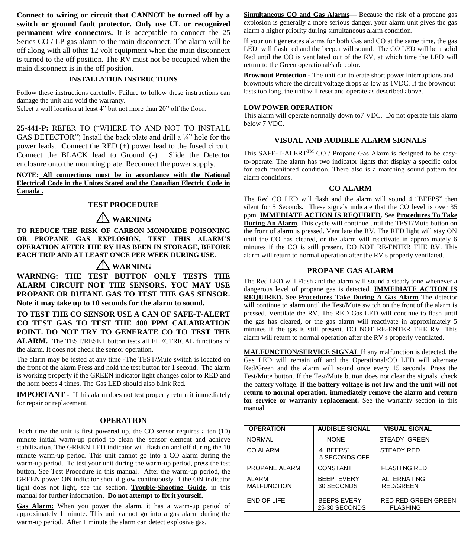**Connect to wiring or circuit that CANNOT be turned off by a switch or ground fault protector. Only use UL or recognized permanent wire connectors.** It is acceptable to connect the 25 Series CO / LP gas alarm to the main disconnect. The alarm will be off along with all other 12 volt equipment when the main disconnect is turned to the off position. The RV must not be occupied when the main disconnect is in the off position.

#### **INSTALLATION INSTRUCTIONS**

Follow these instructions carefully. Failure to follow these instructions can damage the unit and void the warranty.

Select a wall location at least 4" but not more than 20" off the floor.

**25-441-P:** REFER TO ("WHERE TO AND NOT TO INSTALL GAS DETECTOR") Install the back plate and drill a  $\frac{1}{4}$ " hole for the power leads. **C**onnect the RED (+) power lead to the fused circuit. Connect the BLACK lead to Ground (-). Slide the Detector enclosure onto the mounting plate. Reconnect the power supply.

**NOTE: All connections must be in accordance with the National Electrical Code in the Unites Stated and the Canadian Electric Code in Canada .**

#### **TEST PROCEDURE**

## ! **WARNING**

**TO REDUCE THE RISK OF CARBON MONOXIDE POISONING OR PROPANE GAS EXPLOSION, TEST THIS ALARM'S OPERATION AFTER THE RV HAS BEEN IN STORAGE, BEFORE EACH TRIP AND AT LEAST ONCE PER WEEK DURING USE**.

## ! **WARNING**

**WARNING: THE TEST BUTTON ONLY TESTS THE ALARM CIRCUIT NOT THE SENSORS. YOU MAY USE PROPANE OR BUTANE GAS TO TEST THE GAS SENSOR. Note it may take up to 10 seconds for the alarm to sound.**

**TO TEST THE CO SENSOR USE A CAN OF SAFE-T-ALERT CO TEST GAS TO TEST THE 400 PPM CALABRATION POINT. DO NOT TRY TO GENERATE CO TO TEST THE ALARM.** The TEST/RESET button tests all ELECTRICAL functions of the alarm. It does not check the sensor operation.

The alarm may be tested at any time -The TEST/Mute switch is located on the front of the alarm Press and hold the test button for 1 second. The alarm is working properly if the GREEN indicator light changes color to RED and the horn beeps 4 times. The Gas LED should also blink Red.

**IMPORTANT -** If this alarm does not test properly return it immediately for repair or replacement.

#### **OPERATION**

Each time the unit is first powered up, the CO sensor requires a ten (10) minute initial warm-up period to clean the sensor element and achieve stabilization. The GREEN LED indicator will flash on and off during the 10 minute warm-up period. This unit cannot go into a CO alarm during the warm-up period. To test your unit during the warm-up period, press the test button. See Test Procedure in this manual. After the warm-up period, the GREEN power ON indicator should glow continuously If the ON indicator light does not light, see the section, **Trouble-Shooting Guide**, in this manual for further information. **Do not attempt to fix it yourself.**

**Gas Alarm:** When you power the alarm, it has a warm-up period of approximately 1 minute. This unit cannot go into a gas alarm during the warm-up period. After 1 minute the alarm can detect explosive gas.

**Simultaneous CO and Gas Alarms—** Because the risk of a propane gas explosion is generally a more serious danger, your alarm unit gives the gas alarm a higher priority during simultaneous alarm condition.

If your unit generates alarms for both Gas and CO at the same time, the gas LED will flash red and the beeper will sound. The CO LED will be a solid Red until the CO is ventilated out of the RV, at which time the LED will return to the Green operational/safe color.

**Brownout Protection -** The unit can tolerate short power interruptions and brownouts where the circuit voltage drops as low as 1VDC. If the brownout lasts too long, the unit will reset and operate as described above.

#### **LOW POWER OPERATION**

This alarm will operate normally down to7 VDC. Do not operate this alarm below 7 VDC.

#### **VISUAL AND AUDIBLE ALARM SIGNALS**

This SAFE-T-ALERT<sup>TM</sup> CO / Propane Gas Alarm is designed to be easyto-operate. The alarm has two indicator lights that display a specific color for each monitored condition. There also is a matching sound pattern for alarm conditions.

#### **CO ALARM**

The Red CO LED will flash and the alarm will sound 4 "BEEPS" then silent for 5 Seconds**.** These signals indicate that the CO level is over 35 ppm. **IMMEDIATE ACTION IS REQUIRED.** See **Procedures To Take During An Alarm**. This cycle will continue until the TEST/Mute button on the front of alarm is pressed. Ventilate the RV. The RED light will stay ON until the CO has cleared, or the alarm will reactivate in approximately 6 minutes if the CO is still present. DO NOT RE-ENTER THE RV. This alarm will return to normal operation after the RV s properly ventilated.

#### **PROPANE GAS ALARM**

The Red LED will Flash and the alarm will sound a steady tone whenever a dangerous level of propane gas is detected. **IMMEDIATE ACTION IS REQUIRED.** See **Procedures Take During A Gas Alarm** The detector will continue to alarm until the Test/Mute switch on the front of the alarm is pressed. Ventilate the RV. The RED Gas LED will continue to flash until the gas has cleared, or the gas alarm will reactivate in approximately 5 minutes if the gas is still present. DO NOT RE-ENTER THE RV. This alarm will return to normal operation after the RV s properly ventilated.

**MALFUNCTION/SERVICE SIGNAL** If any malfunction is detected, the Gas LED will remain off and the Operational/CO LED will alternate Red/Green and the alarm will sound once every 15 seconds. Press the Test/Mute button. If the Test/Mute button does not clear the signals, check the battery voltage. I**f the battery voltage is not low and the unit will not return to normal operation, immediately remove the alarm and return for service or warranty replacement.** See the warranty section in this manual.

| <b>OPERATION</b>                   | <b>AUDIBLE SIGNAL</b>               | <b>VISUAL SIGNAL</b>                          |
|------------------------------------|-------------------------------------|-----------------------------------------------|
| <b>NORMAL</b>                      | <b>NONE</b>                         | STEADY GREEN                                  |
| <b>CO ALARM</b>                    | 4 "BEEPS"<br>5 SECONDS OFF          | <b>STEADY RED</b>                             |
| PROPANE ALARM                      | CONSTANT                            | <b>FLASHING RED</b>                           |
| <b>ALARM</b><br><b>MALFUNCTION</b> | <b>BEEP" EVERY</b><br>30 SECONDS    | <b>ALTERNATING</b><br>RED/GREEN               |
| END OF LIFE                        | <b>BEEPS EVERY</b><br>25-30 SECONDS | <b>RED RED GREEN GREEN</b><br><b>FLASHING</b> |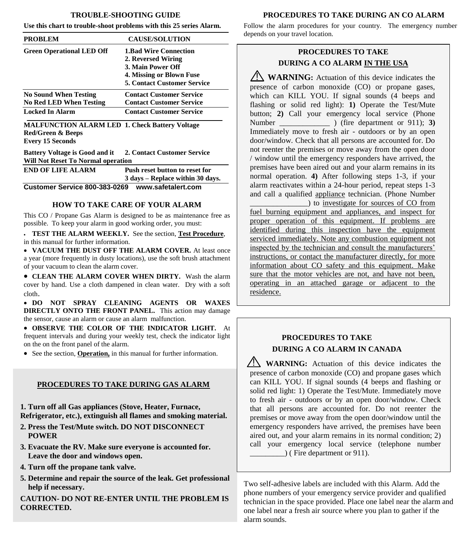#### **TROUBLE-SHOOTING GUIDE**

**Use this chart to trouble-shoot problems with this 25 series Alarm.**

| <b>PROBLEM</b>                                                 | <b>CAUSE/SOLUTION</b>                                                                                                                     |
|----------------------------------------------------------------|-------------------------------------------------------------------------------------------------------------------------------------------|
| <b>Green Operational LED Off</b>                               | <b>1.Bad Wire Connection</b><br>2. Reversed Wiring<br>3. Main Power Off<br>4. Missing or Blown Fuse<br><b>5. Contact Customer Service</b> |
| <b>No Sound When Testing</b><br><b>No Red LED When Testing</b> | <b>Contact Customer Service</b><br><b>Contact Customer Service</b>                                                                        |
| Locked In Alarm                                                | <b>Contact Customer Service</b>                                                                                                           |

**MALFUNCTION ALARM LED 1. Check Battery Voltage Red/Green & Beeps Every 15 Seconds** 

**Battery Voltage is Good and it 2. Contact Customer Service Will Not Reset To Normal operation** 

| <b>END OF LIFE ALARM</b>      | Push reset button to reset for   |  |
|-------------------------------|----------------------------------|--|
|                               | 3 days – Replace within 30 days. |  |
| Customer Service 800-383-0269 | www.safetalert.com               |  |

#### **HOW TO TAKE CARE OF YOUR ALARM**

This CO / Propane Gas Alarm is designed to be as maintenance free as possible. To keep your alarm in good working order, you must:

 **TEST THE ALARM WEEKLY.** See the section, **Test Procedure**, in this manual for further information.

 **VACUUM THE DUST OFF THE ALARM COVER.** At least once a year (more frequently in dusty locations), use the soft brush attachment of your vacuum to clean the alarm cover.

 **CLEAN THE ALARM COVER WHEN DIRTY.** Wash the alarm cover by hand. Use a cloth dampened in clean water. Dry with a soft cloth.

 **DO NOT SPRAY CLEANING AGENTS OR WAXES DIRECTLY ONTO THE FRONT PANEL.** This action may damage the sensor, cause an alarm or cause an alarm malfunction.

 **OBSERVE THE COLOR OF THE INDICATOR LIGHT.** At frequent intervals and during your weekly test, check the indicator light on the on the front panel of the alarm.

See the section, **Operation,** in this manual for further information.

#### **PROCEDURES TO TAKE DURING GAS ALARM**

**1. Turn off all Gas appliances (Stove, Heater, Furnace, Refrigerator, etc.), extinguish all flames and smoking material.** 

- **2. Press the Test/Mute switch. DO NOT DISCONNECT POWER**
- **3. Evacuate the RV. Make sure everyone is accounted for. Leave the door and windows open.**
- **4. Turn off the propane tank valve.**
- **5. Determine and repair the source of the leak. Get professional help if necessary.**

**CAUTION- DO NOT RE-ENTER UNTIL THE PROBLEM IS CORRECTED.**

## **PROCEDURES TO TAKE DURING AN CO ALARM**

Follow the alarm procedures for your country. The emergency number depends on your travel location.

## **PROCEDURES TO TAKE DURING A CO ALARM IN THE USA**

**WARNING**: Actuation of this device indicates the presence of carbon monoxide (CO) or propane gases, which can KILL YOU. If signal sounds (4 beeps and flashing or solid red light): **1)** Operate the Test/Mute button; **2)** Call your emergency local service (Phone Number \_\_\_\_\_\_\_\_\_\_\_\_\_ ) (fire department or 911); **3)** Immediately move to fresh air - outdoors or by an open door/window. Check that all persons are accounted for. Do not reenter the premises or move away from the open door / window until the emergency responders have arrived, the premises have been aired out and your alarm remains in its normal operation. **4)** After following steps 1-3, if your alarm reactivates within a 24-hour period, repeat steps 1-3 and call a qualified appliance technician. (Phone Number

\_\_\_\_\_\_\_\_\_\_\_\_\_\_\_) to investigate for sources of CO from fuel burning equipment and appliances, and inspect for proper operation of this equipment. If problems are identified during this inspection have the equipment serviced immediately. Note any combustion equipment not inspected by the technician and consult the manufacturers' instructions, or contact the manufacturer directly, for more information about CO safety and this equipment. Make sure that the motor vehicles are not, and have not been, operating in an attached garage or adjacent to the residence.

## **PROCEDURES TO TAKE DURING A CO ALARM IN CANADA**

**WARNING:** Actuation of this device indicates the presence of carbon monoxide (CO) and propane gases which can KILL YOU. If signal sounds (4 beeps and flashing or solid red light: 1) Operate the Test/Mute. Immediately move to fresh air - outdoors or by an open door/window. Check that all persons are accounted for. Do not reenter the premises or move away from the open door/window until the emergency responders have arrived, the premises have been aired out, and your alarm remains in its normal condition; 2) call your emergency local service (telephone number  $)$  (Fire department or 911).

Two self-adhesive labels are included with this Alarm. Add the phone numbers of your emergency service provider and qualified technician in the space provided. Place one label near the alarm and one label near a fresh air source where you plan to gather if the alarm sounds.